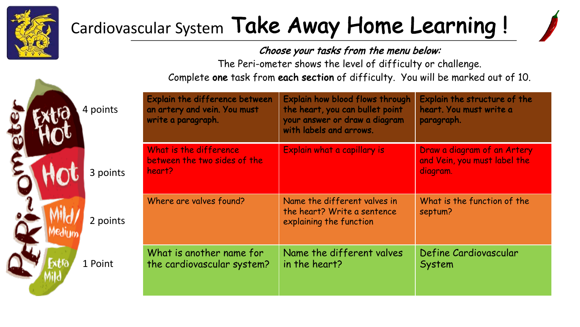

## Cardiovascular System Take Away Home Learning!

Choose your tasks from the menu below:

The Peri-ometer shows the level of difficulty or challenge.

Complete one task from each section of difficulty. You will be marked out of 10.

| 4 points | <b>Explain the difference between</b><br>an artery and vein. You must<br>write a paragraph. | Explain how blood flows through<br>the heart, you can bullet point<br>your answer or draw a diagram<br>with labels and arrows. | Explain the structure of the<br>heart. You must write a<br>paragraph.   |
|----------|---------------------------------------------------------------------------------------------|--------------------------------------------------------------------------------------------------------------------------------|-------------------------------------------------------------------------|
| 3 points | What is the difference<br>between the two sides of the<br>heart?                            | Explain what a capillary is                                                                                                    | Draw a diagram of an Artery<br>and Vein, you must label the<br>diagram. |
| 2 points | Where are valves found?                                                                     | Name the different valves in<br>the heart? Write a sentence<br>explaining the function                                         | What is the function of the<br>septum?                                  |
| 1 Point  | What is another name for<br>the cardiovascular system?                                      | Name the different valves<br>in the heart?                                                                                     | Define Cardiovascular<br>System                                         |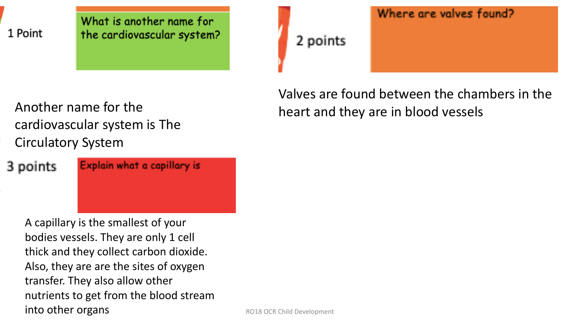1 Point

What is another name for the cardiovascular system?



Where are valves found?

Another name for the cardiovascular system is The Circulatory System

3 points

Explain what a capillary is

A capillary is the smallest of your bodies vessels. They are only 1 cell thick and they collect carbon dioxide. Also, they are are the sites of oxygen transfer. They also allow other nutrients to get from the blood stream into other organs

Valves are found between the chambers in the heart and they are in blood vessels